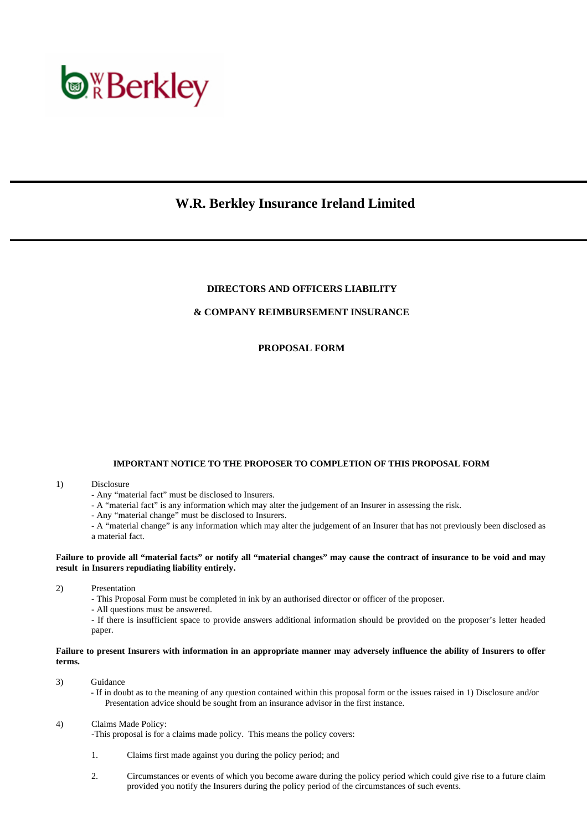

# **W.R. Berkley Insurance Ireland Limited**

### **DIRECTORS AND OFFICERS LIABILITY**

# **& COMPANY REIMBURSEMENT INSURANCE**

# **PROPOSAL FORM**

#### **IMPORTANT NOTICE TO THE PROPOSER TO COMPLETION OF THIS PROPOSAL FORM**

#### 1) Disclosure

- Any "material fact" must be disclosed to Insurers.
- A "material fact" is any information which may alter the judgement of an Insurer in assessing the risk.
- Any "material change" must be disclosed to Insurers.

 - A "material change" is any information which may alter the judgement of an Insurer that has not previously been disclosed as a material fact.

#### **Failure to provide all "material facts" or notify all "material changes" may cause the contract of insurance to be void and may result in Insurers repudiating liability entirely.**

2) Presentation

- This Proposal Form must be completed in ink by an authorised director or officer of the proposer.

- All questions must be answered.

 - If there is insufficient space to provide answers additional information should be provided on the proposer's letter headed paper.

#### **Failure to present Insurers with information in an appropriate manner may adversely influence the ability of Insurers to offer terms.**

- 3) Guidance
	- If in doubt as to the meaning of any question contained within this proposal form or the issues raised in 1) Disclosure and/or Presentation advice should be sought from an insurance advisor in the first instance.

#### 4) Claims Made Policy:

-This proposal is for a claims made policy. This means the policy covers:

- 1. Claims first made against you during the policy period; and
- 2. Circumstances or events of which you become aware during the policy period which could give rise to a future claim provided you notify the Insurers during the policy period of the circumstances of such events.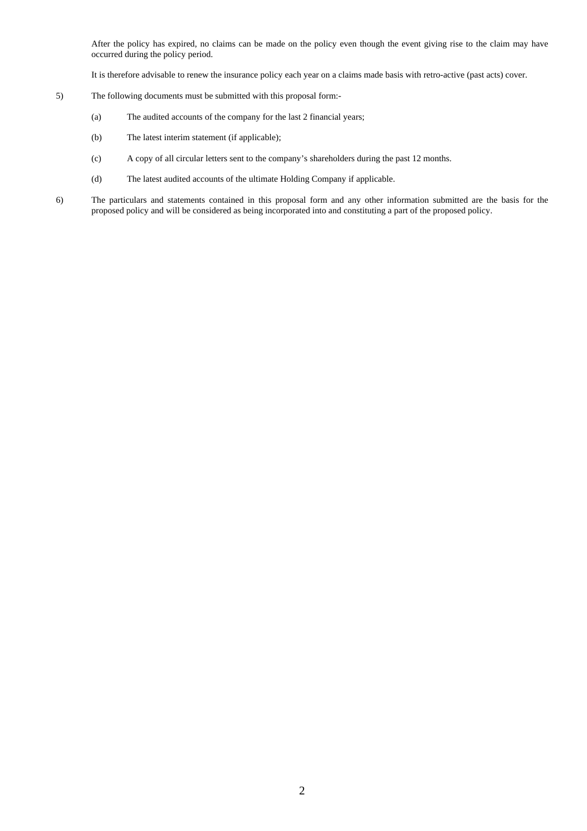After the policy has expired, no claims can be made on the policy even though the event giving rise to the claim may have occurred during the policy period.

It is therefore advisable to renew the insurance policy each year on a claims made basis with retro-active (past acts) cover.

- 5) The following documents must be submitted with this proposal form:-
	- (a) The audited accounts of the company for the last 2 financial years;
	- (b) The latest interim statement (if applicable);
	- (c) A copy of all circular letters sent to the company's shareholders during the past 12 months.
	- (d) The latest audited accounts of the ultimate Holding Company if applicable.
- 6) The particulars and statements contained in this proposal form and any other information submitted are the basis for the proposed policy and will be considered as being incorporated into and constituting a part of the proposed policy.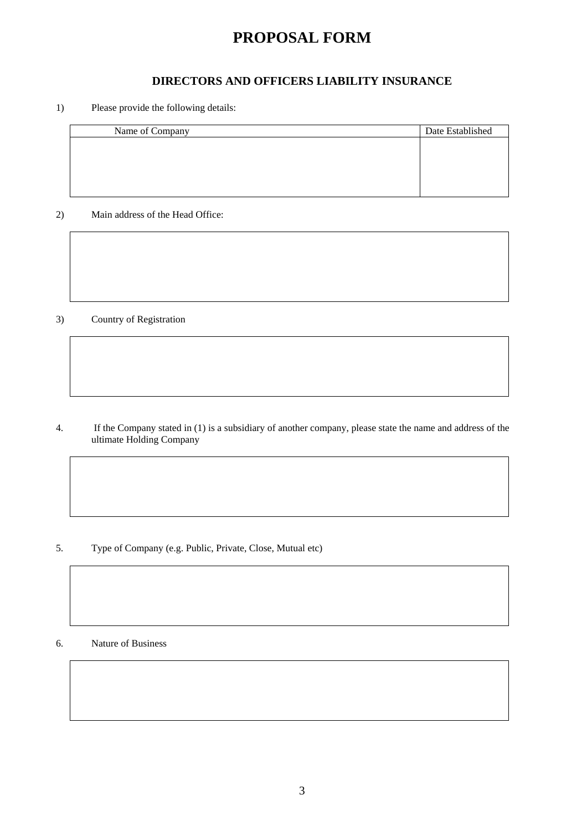# **PROPOSAL FORM**

# **DIRECTORS AND OFFICERS LIABILITY INSURANCE**

1) Please provide the following details:

| Name of Company | Date Established |
|-----------------|------------------|
|                 |                  |
|                 |                  |
|                 |                  |
|                 |                  |
|                 |                  |

2) Main address of the Head Office:

3) Country of Registration

4. If the Company stated in (1) is a subsidiary of another company, please state the name and address of the ultimate Holding Company

5. Type of Company (e.g. Public, Private, Close, Mutual etc)

6. Nature of Business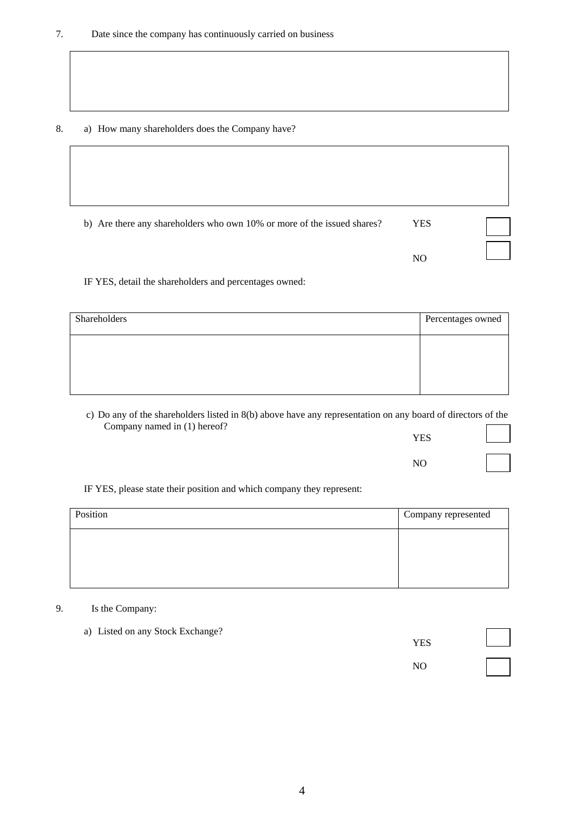# 8. a) How many shareholders does the Company have?

| b) Are there any shareholders who own 10% or more of the issued shares? | <b>YES</b>     |  |
|-------------------------------------------------------------------------|----------------|--|
|                                                                         | N <sub>O</sub> |  |

IF YES, detail the shareholders and percentages owned:

| Shareholders | Percentages owned |
|--------------|-------------------|
|              |                   |
|              |                   |
|              |                   |

c) Do any of the shareholders listed in 8(b) above have any representation on any board of directors of the Company named in (1) hereof?

| $\mathbf{r}$<br><u>_</u> | $\sim$ |  | <b>YES</b>     |  |
|--------------------------|--------|--|----------------|--|
|                          |        |  | N <sub>O</sub> |  |
|                          |        |  |                |  |

IF YES, please state their position and which company they represent:

| Position | Company represented |
|----------|---------------------|
|          |                     |
|          |                     |
|          |                     |

# 9. Is the Company:

 a) Listed on any Stock Exchange? **THE SECOND SECOND SECOND SECOND SECOND SECOND SECOND SECOND SECOND SECOND SECOND SECOND SECOND SECOND SECOND SECOND SECOND SECOND SECOND SECOND SECOND SECOND SECOND SECOND SECOND SECOND SECOND SECOND SECOND SECOND SECOND** NO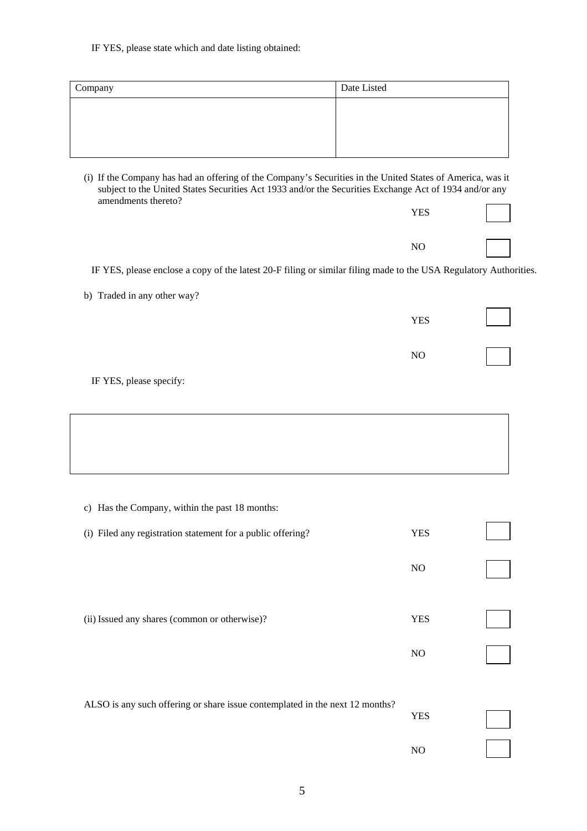#### IF YES, please state which and date listing obtained:

| Company | Date Listed |  |
|---------|-------------|--|
|         |             |  |
|         |             |  |
|         |             |  |

 (i) If the Company has had an offering of the Company's Securities in the United States of America, was it subject to the United States Securities Act 1933 and/or the Securities Exchange Act of 1934 and/or any amendments thereto?  $\overline{\phantom{0}}$ 

| <b>YES</b> |  |
|------------|--|
| NO         |  |

IF YES, please enclose a copy of the latest 20-F filing or similar filing made to the USA Regulatory Authorities.

b) Traded in any other way?

| <b>YES</b> |  |
|------------|--|
| $\rm NO$   |  |

IF YES, please specify:

 c) Has the Company, within the past 18 months: (i) Filed any registration statement for a public offering? YES NO (ii) Issued any shares (common or otherwise)?YES NO

| ALSO is any such offering or share issue contemplated in the next 12 months? | YES |  |
|------------------------------------------------------------------------------|-----|--|
|                                                                              | NΩ  |  |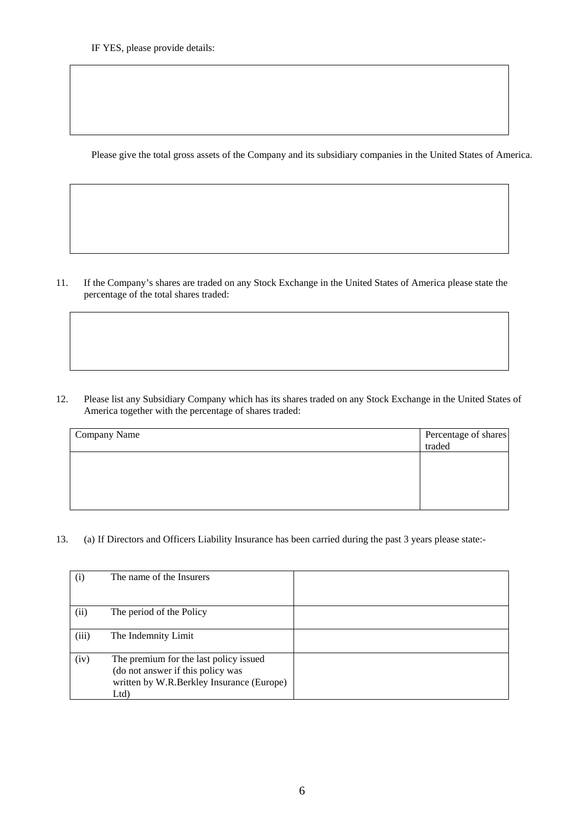Please give the total gross assets of the Company and its subsidiary companies in the United States of America.

11. If the Company's shares are traded on any Stock Exchange in the United States of America please state the percentage of the total shares traded:

12. Please list any Subsidiary Company which has its shares traded on any Stock Exchange in the United States of America together with the percentage of shares traded:

| <b>Company Name</b> | Percentage of shares<br>traded |
|---------------------|--------------------------------|
|                     |                                |
|                     |                                |
|                     |                                |

13. (a) If Directors and Officers Liability Insurance has been carried during the past 3 years please state:-

| (i)   | The name of the Insurers                                                                                                        |  |
|-------|---------------------------------------------------------------------------------------------------------------------------------|--|
| (ii)  | The period of the Policy                                                                                                        |  |
| (iii) | The Indemnity Limit                                                                                                             |  |
| (iv)  | The premium for the last policy issued<br>(do not answer if this policy was<br>written by W.R.Berkley Insurance (Europe)<br>Ltd |  |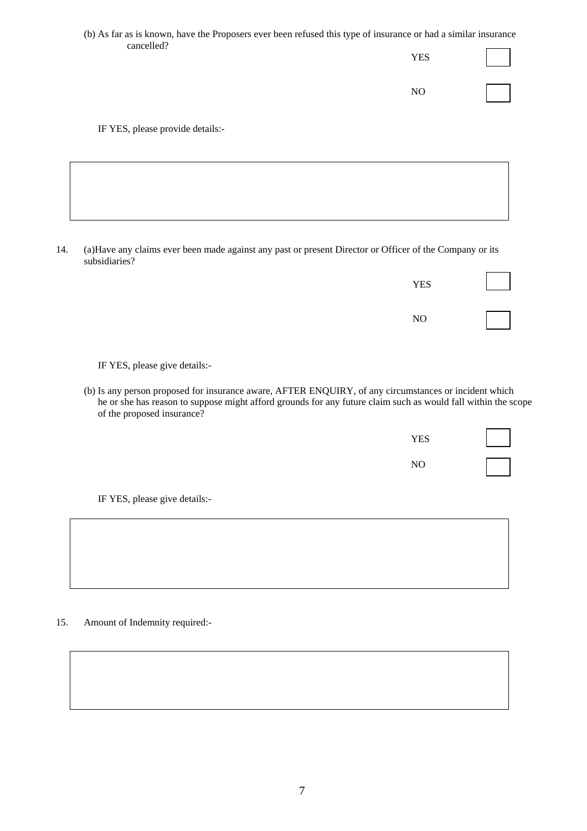(b) As far as is known, have the Proposers ever been refused this type of insurance or had a similar insurance cancelled? **THE SECOND SECOND SECOND SECOND SECOND SECOND SECOND SECOND SECOND SECOND SECOND SECOND SECOND SECOND SECOND SECOND SECOND SECOND SECOND SECOND SECOND SECOND SECOND SECOND SECOND SECOND SECOND SECOND SECOND SECOND SECOND** 

NO

IF YES, please provide details:-

14. (a)Have any claims ever been made against any past or present Director or Officer of the Company or its subsidiaries?

| <b>YES</b> |  |
|------------|--|
| NO         |  |

IF YES, please give details:-

(b) Is any person proposed for insurance aware, AFTER ENQUIRY, of any circumstances or incident which he or she has reason to suppose might afford grounds for any future claim such as would fall within the scope of the proposed insurance?

| <b>YES</b> |  |
|------------|--|
| NO         |  |

IF YES, please give details:-

| 15. | Amount of Indemnity required:- |
|-----|--------------------------------|
|-----|--------------------------------|